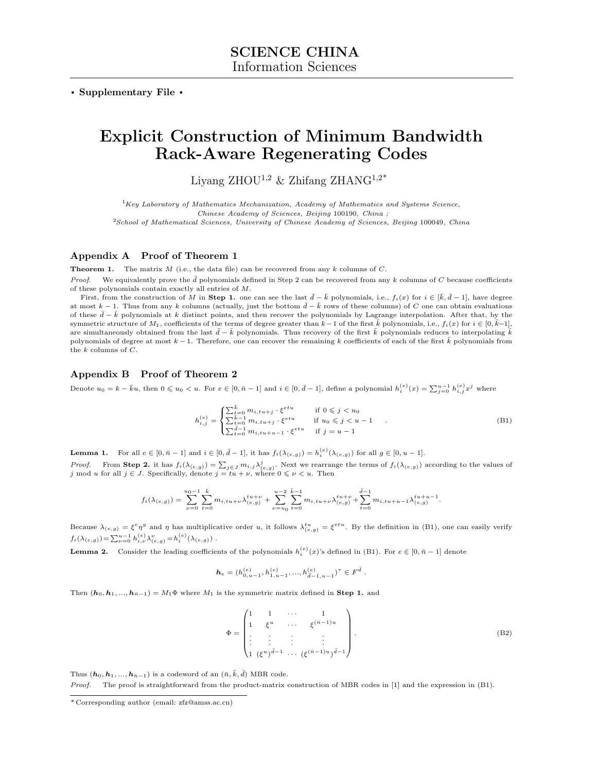. Supplementary File .

# Explicit Construction of Minimum Bandwidth Rack-Aware Regenerating Codes

Liyang ZHOU<sup>1,2</sup> & Zhifang ZHANG<sup>1,2\*</sup>

 $1Key$  Laboratory of Mathematics Mechanization, Academy of Mathematics and Systems Science, Chinese Academy of Sciences, Beijing 100190, China ; <sup>2</sup>School of Mathematical Sciences, University of Chinese Academy of Sciences, Beijing 100049, China

## Appendix A Proof of Theorem 1

**Theorem 1.** The matrix  $M$  (i.e., the data file) can be recovered from any  $k$  columns of  $C$ .

*Proof.* We equivalently prove the  $\bar{d}$  polynomials defined in Step 2 can be recovered from any k columns of C because coefficients of these polynomials contain exactly all entries of M.

First, from the construction of M in Step 1. one can see the last  $\bar{d}-\bar{k}$  polynomials, i.e.,  $f_i(x)$  for  $i \in [\bar{k}, \bar{d}-1]$ , have degree at most  $k - 1$ . Thus from any k columns (actually, just the bottom  $\overline{d} - \overline{k}$  rows of these columns) of C one can obtain evaluations of these  $\bar{d}-\bar{k}$  polynomials at k distinct points, and then recover the polynomials by Lagrange interpolation. After that, by the symmetric structure of  $M_1$ , coefficients of the terms of degree greater than  $k-1$  of the first  $\bar{k}$  polynomials, i.e.,  $f_i(x)$  for  $i \in [0, \bar{k}-1]$ , are simultaneously obtained from the last  $\bar{d}-\bar{k}$  polynomials. Thus recovery of the first  $\bar{k}$  polynomials reduces to interpolating  $\bar{k}$ polynomials of degree at most  $k-1$ . Therefore, one can recover the remaining k coefficients of each of the first  $\bar{k}$  polynomials from the  $k$  columns of  $C$ .

#### Appendix B Proof of Theorem 2

Denote  $u_0 = k - \bar{k}u$ , then  $0 \leq u_0 < u$ . For  $e \in [0, \bar{n} - 1]$  and  $i \in [0, \bar{d} - 1]$ , define a polynomial  $h_i^{(e)}(x) = \sum_{j=0}^{u-1} h_{i,j}^{(e)} x^j$  where

<span id="page-0-0"></span>
$$
h_{i,j}^{(e)} = \begin{cases} \sum_{t=0}^{\bar{k}} m_{i,t} u_{+j} \cdot \xi^{etu} & \text{if } 0 \leq j < u_0\\ \sum_{t=0}^{\bar{k}-1} m_{i,t} u_{+j} \cdot \xi^{etu} & \text{if } u_0 \leq j < u - 1\\ \sum_{t=0}^{\bar{k}-1} m_{i,t} u_{+u-1} \cdot \xi^{etu} & \text{if } j = u - 1 \end{cases}
$$
(B1)

<span id="page-0-2"></span>**Lemma 1.** For all  $e \in [0, \bar{n} - 1]$  and  $i \in [0, \bar{d} - 1]$ , it has  $f_i(\lambda_{(e,g)}) = h_i^{(e)}(\lambda_{(e,g)})$  for all  $g \in [0, u - 1]$ .

*Proof.* From Step 2. it has  $f_i(\lambda_{(e,g)}) = \sum_{j \in J} m_{i,j} \lambda_{(e,g)}^j$ . Next we rearrange the terms of  $f_i(\lambda_{(e,g)})$  according to the values of j mod u for all  $j \in J$ . Specifically, denote  $j = tu + \nu$ , where  $0 \le \nu < u$ . Then

$$
f_i(\lambda_{(e,g)}) = \sum_{\nu=0}^{u_0-1} \sum_{t=0}^{\bar{k}} m_{i, tu+\nu} \lambda_{(e,g)}^{tu+\nu} + \sum_{\nu=u_0}^{u-2} \sum_{t=0}^{\bar{k}-1} m_{i, tu+\nu} \lambda_{(e,g)}^{tu+\nu} + \sum_{t=0}^{\bar{d}-1} m_{i, tu+u-1} \lambda_{(e,g)}^{tu+u-1}.
$$

Because  $\lambda_{(e,g)} = \xi^e \eta^g$  and  $\eta$  has multiplicative order u, it follows  $\lambda_{(e,g)}^{\{u\}} = \xi^{etu}$ . By the definition in [\(B1\)](#page-0-0), one can easily verify  $f_i(\lambda_{(e,g)}) = \sum_{\nu=0}^{u-1} h_{i,\nu}^{(e)} \lambda_{(e,g)}^{\nu} = h_i^{(e)}(\lambda_{(e,g)})$ .

<span id="page-0-1"></span>**Lemma 2.** Consider the leading coefficients of the polynomials  $h_i^{(e)}(x)$ 's defined in [\(B1\)](#page-0-0). For  $e \in [0, \bar{n} - 1]$  denote

$$
\pmb{h}_e = (h^{(e)}_{0, u-1}, h^{(e)}_{1, u-1}, ..., h^{(e)}_{\bar{d}-1, u-1})^\tau \in \boldsymbol{F}^{\bar{d}}\ .
$$

Then  $(h_0, h_1, ..., h_{\bar{n}-1}) = M_1 \Phi$  where  $M_1$  is the symmetric matrix defined in Step 1. and

$$
\Phi = \begin{pmatrix} 1 & 1 & \cdots & 1 \\ 1 & \xi^u & \cdots & \xi^{(\bar{n}-1)u} \\ \vdots & \vdots & \vdots & \vdots \\ 1 & (\xi^u)^{\bar{d}-1} & \cdots & (\xi^{(\bar{n}-1)u})^{\bar{d}-1} \end{pmatrix} .
$$
 (B2)

Thus  $(h_0, h_1, ..., h_{\bar{n}-1})$  is a codeword of an  $(\bar{n}, \bar{k}, \bar{d})$  MBR code.

Proof. The proof is straightforward from the product-matrix construction of MBR codes in [\[1\]](#page-2-0) and the expression in [\(B1\)](#page-0-0).

<sup>\*</sup> Corresponding author (email: zfz@amss.ac.cn)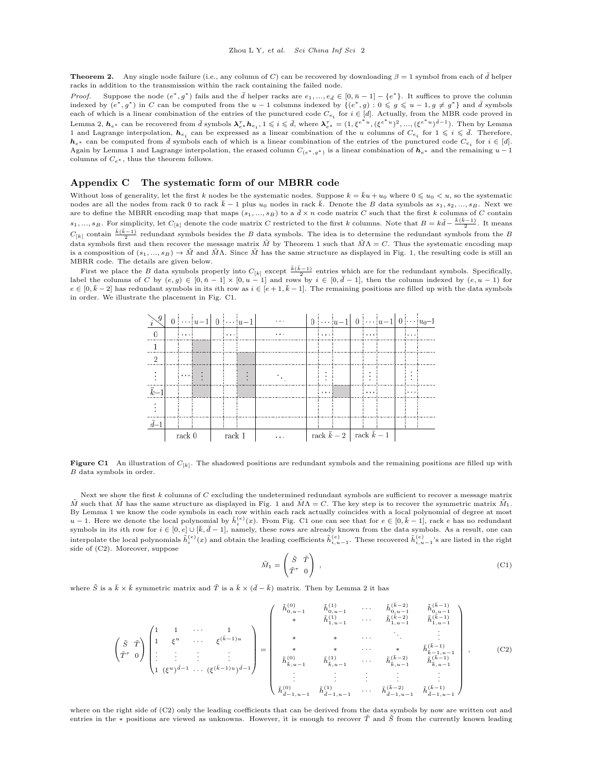**Theorem 2.** Any single node failure (i.e., any column of C) can be recovered by downloading  $\beta = 1$  symbol from each of  $\bar{d}$  helper racks in addition to the transmission within the rack containing the failed node.

*Proof.* Suppose the node  $(e^*, g^*)$  fails and the  $\bar{d}$  helper racks are  $e_1, ..., e_{\bar{d}} \in [0, \bar{n} - 1] - \{e^*\}$ . It suffices to prove the column indexed by  $(e^*, g^*)$  in C can be computed from the  $u-1$  columns indexed by  $\{(e^*, g): 0 \leq g \leq u-1, g \neq g^*\}$  and  $\bar{d}$  symbols each of which is a linear combination of the entries of the punctured code  $C_{e_i}$  for  $i \in [d]$ . Actually, from the MBR code proved in Lemma [2,](#page-0-1)  $h_{e^*}$  can be recovered from  $\bar{d}$  symbols  $\lambda_{e^*}^{\tau}h_{e_i}$ ,  $1 \leqslant i \leqslant \bar{d}$ , where  $\lambda_{e^*}^{\tau} = (1, \xi^{e^*u}, (\xi^{e^*u})^2, ..., (\xi^{e^*u})^{\bar{d}-1})$ . Then by Lemma [1](#page-0-2) and Lagrange interpolation,  $h_{e_i}$  can be expressed as a linear combination of the u columns of  $C_{e_i}$  for  $1 \leqslant i \leqslant \bar{d}$ . Therefore,  $h_{e^*}$  can be computed from  $\bar{d}$  symbols each of which is a linear combination of the entries of the punctured code  $C_{e_i}$  for  $i \in [d]$ . Again by Lemma [1](#page-0-2) and Lagrange interpolation, the erased column  $C_{(e^*,g^*)}$  is a linear combination of  $h_{e^*}$  and the remaining  $u-1$ columns of  $C_{e^*}$ , thus the theorem follows.

### Appendix C The systematic form of our MBRR code

Without loss of generality, let the first k nodes be the systematic nodes. Suppose  $k = \overline{k}u + u_0$  where  $0 \leq u_0 \leq u$ , so the systematic nodes are all the nodes from rack 0 to rack  $\bar{k}$  − 1 plus  $u_0$  nodes in rack  $\bar{k}$ . Denote the B data symbols as  $s_1, s_2, ..., s_B$ . Next we are to define the MBRR encoding map that maps  $(s_1, ..., s_B)$  to a  $\bar{d} \times n$  code matrix C such that the first k columns of C contain  $s_1, ..., s_B$ . For simplicity, let  $C_{[k]}$  denote the code matrix C restricted to the first k columns. Note that  $B = k\bar{d} - \frac{\bar{k}(\bar{k}-1)}{2}$ . It means  $C_{[k]}$  contain  $\frac{\bar{k}(\bar{k}-1)}{2}$  redundant symbols besides the B data symbols. The idea is to determine the redundant symbols from the B data symbols first and then recover the message matrix  $\tilde{M}$  by Theorem 1 such that  $\tilde{M}\Lambda = C$ . Thus the systematic encoding map is a composition of  $(s_1, ..., s_B) \to \tilde{M}$  and  $\tilde{M}\Lambda$ . Since  $\tilde{M}$  has the same structure as displayed in Fig. 1, the resulting code is still an MBRR code. The details are given below.

<span id="page-1-0"></span>First we place the B data symbols properly into  $C_{[k]}$  except  $\frac{\overline{k(k-1)}}{2}$  entries which are for the redundant symbols. Specifically, label the columns of C by  $(e, g) \in [0, \bar{n} - 1] \times [0, u - 1]$  and rows by  $i \in [0, \bar{d} - 1$  $e \in [0, \bar{k}-2]$  has redundant symbols in its *i*th row as  $i \in [e+1,\bar{k}-1]$ . The remaining positions are filled up with the data symbols in order. We illustrate the placement in Fig. [C1.](#page-1-0)



**Figure C1** An illustration of  $C_{[k]}$ . The shadowed positions are redundant symbols and the remaining positions are filled up with B data symbols in order.

Next we show the first  $k$  columns of  $C$  excluding the undetermined redundant symbols are sufficient to recover a message matrix  $\tilde{M}$  such that  $\tilde{M}$  has the same structure as displayed in Fig. 1 and  $\tilde{M}\Lambda = C$ . The key step is to recover the symmetric matrix  $\tilde{M}_1$ . By Lemma [1](#page-0-2) we know the code symbols in each row within each rack actually coincides with a local polynomial of degree at most  $u-1$ . Here we denote the local polynomial by  $\tilde{h}_i^{(e)}(x)$ . From Fig. [C1](#page-1-0) one can see that for  $e \in [0, \bar{k}-1]$ , rack e has no redundant symbols in its ith row for  $i \in [0, e] \cup [\bar{k}, \bar{d} - 1]$ , namely, these rows are already known from the data symbols. As a result, one can interpolate the local polynomials  $\tilde{h}^{(e)}_i(x)$  and obtain the leading coefficients  $\tilde{h}^{(e)}_{i,u-1}$ . These recovered  $\tilde{h}^{(e)}_{i,u-1}$ 's are listed in the right side of [\(C2\)](#page-1-1). Moreover, suppose

<span id="page-1-2"></span>
$$
\tilde{M}_1 = \begin{pmatrix} \tilde{S} & \tilde{T} \\ \tilde{T}^{\tau} & 0 \end{pmatrix} , \tag{C1}
$$

where  $\tilde{S}$  is a  $\bar{k} \times \bar{k}$  symmetric matrix and  $\tilde{T}$  is a  $\bar{k} \times (\bar{d}-\bar{k})$  matrix. Then by Lemma [2](#page-0-1) it has

<span id="page-1-1"></span>
$$
\begin{pmatrix}\n\tilde{S} & \tilde{T} \\
\tilde{T}^{\tau} & 0\n\end{pmatrix}\n\begin{pmatrix}\n1 & 1 & \cdots & 1 \\
1 & \xi^{u} & \cdots & \xi^{(\bar{k}-1)u} \\
\vdots & \vdots & \ddots & \vdots \\
1 & (\xi^{u})^{\bar{d}-1} & \cdots & (\xi^{(\bar{k}-1)u})^{\bar{d}-1}\n\end{pmatrix} = \begin{pmatrix}\n\tilde{h}_{0,u-1}^{(0)} & \tilde{h}_{0,u-1}^{(1)} & \cdots & \tilde{h}_{0,u-1}^{(\bar{k}-2)} & \tilde{h}_{0,u-1}^{(\bar{k}-1)} \\
\ast & \tilde{h}_{1,u-1}^{(1)} & \cdots & \tilde{h}_{1,u-1}^{(\bar{k}-2)} & \tilde{h}_{1,u-1}^{(\bar{k}-1)} \\
\ast & \ast & \cdots & \vdots & \vdots \\
\ast & \ast & \cdots & \ast & \tilde{h}_{k-1,u-1}^{(\bar{k}-1)} \\
\tilde{h}_{k,u-1}^{(0)} & \tilde{h}_{k,u-1}^{(1)} & \cdots & \tilde{h}_{k,u-1}^{(\bar{k}-2)} & \tilde{h}_{k,u-1}^{(\bar{k}-1)} \\
\vdots & \vdots & \vdots & \vdots & \vdots \\
\tilde{h}_{\bar{d}-1,u-1}^{(0)} & \tilde{h}_{\bar{d}-1,u-1}^{(1)} & \cdots & \tilde{h}_{\bar{d}-1,u-1}^{(\bar{k}-2)} & \tilde{h}_{\bar{d}-1,u-1}^{(\bar{k}-1)}\n\end{pmatrix},
$$
\n(C2)

where on the right side of [\(C2\)](#page-1-1) only the leading coefficients that can be derived from the data symbols by now are written out and entries in the ∗ positions are viewed as unknowns. However, it is enough to recover  $\tilde{T}$  and  $\tilde{S}$  from the currently known leading